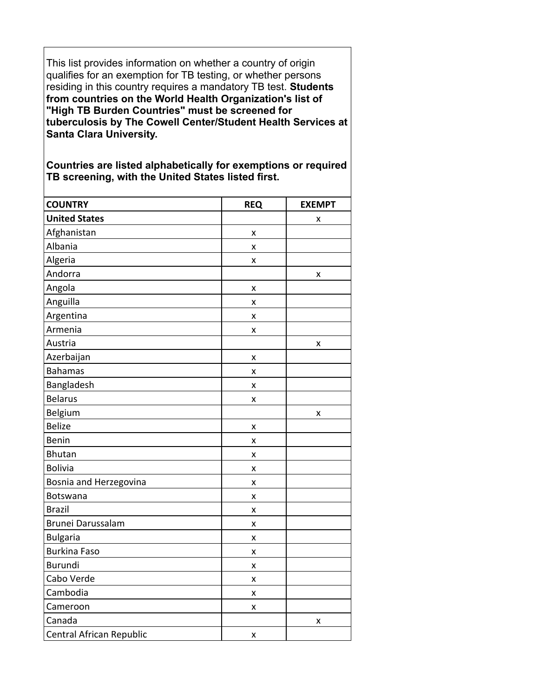This list provides information on whether a country of origin qualifies for an exemption for TB testing, or whether persons residing in this country requires a mandatory TB test. **Students from countries on the World Health Organization's list of "High TB Burden Countries" must be screened for tuberculosis by The Cowell Center/Student Health Services at Santa Clara University.**

**Countries are listed alphabetically for exemptions or required TB screening, with the United States listed first.** 

| <b>COUNTRY</b>           | <b>REQ</b> | <b>EXEMPT</b> |
|--------------------------|------------|---------------|
| <b>United States</b>     |            | x             |
| Afghanistan              | X          |               |
| Albania                  | X          |               |
| Algeria                  | X          |               |
| Andorra                  |            | x             |
| Angola                   | X          |               |
| Anguilla                 | X          |               |
| Argentina                | X          |               |
| Armenia                  | X          |               |
| Austria                  |            | x             |
| Azerbaijan               | X          |               |
| <b>Bahamas</b>           | X          |               |
| Bangladesh               | X          |               |
| <b>Belarus</b>           | x          |               |
| Belgium                  |            | X             |
| <b>Belize</b>            | X          |               |
| <b>Benin</b>             | X          |               |
| <b>Bhutan</b>            | X          |               |
| <b>Bolivia</b>           | X          |               |
| Bosnia and Herzegovina   | X          |               |
| Botswana                 | X          |               |
| <b>Brazil</b>            | X          |               |
| Brunei Darussalam        | X          |               |
| <b>Bulgaria</b>          | X          |               |
| <b>Burkina Faso</b>      | X          |               |
| <b>Burundi</b>           | X          |               |
| Cabo Verde               | X          |               |
| Cambodia                 | X          |               |
| Cameroon                 | X          |               |
| Canada                   |            | X             |
| Central African Republic | X          |               |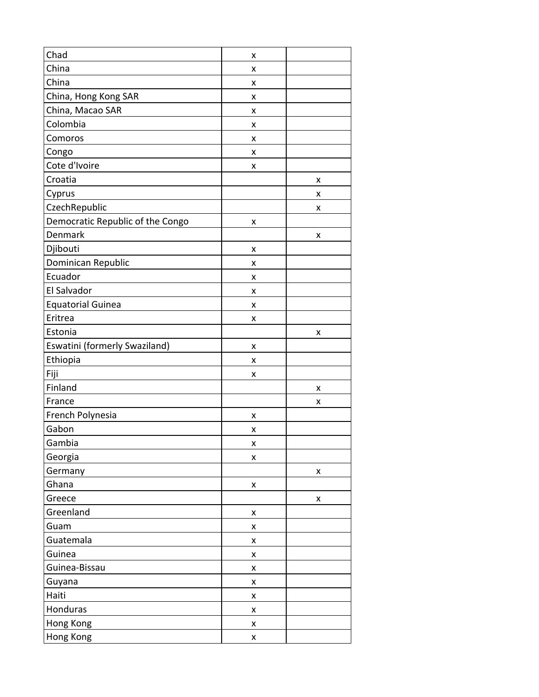| Chad                             | x |   |
|----------------------------------|---|---|
| China                            | x |   |
| China                            | x |   |
| China, Hong Kong SAR             | x |   |
| China, Macao SAR                 | X |   |
| Colombia                         | x |   |
| Comoros                          | x |   |
| Congo                            | x |   |
| Cote d'Ivoire                    | x |   |
| Croatia                          |   | X |
| Cyprus                           |   | x |
| CzechRepublic                    |   | x |
| Democratic Republic of the Congo | x |   |
| Denmark                          |   | X |
| Djibouti                         | x |   |
| Dominican Republic               | x |   |
| Ecuador                          | x |   |
| El Salvador                      | x |   |
| <b>Equatorial Guinea</b>         | x |   |
| Eritrea                          | x |   |
| Estonia                          |   | X |
| Eswatini (formerly Swaziland)    | x |   |
| Ethiopia                         | x |   |
| Fiji                             | x |   |
| Finland                          |   | Χ |
| France                           |   | x |
| French Polynesia                 | x |   |
| Gabon                            | x |   |
| Gambia                           | x |   |
| Georgia                          | x |   |
| Germany                          |   | X |
| Ghana                            | X |   |
| Greece                           |   | X |
| Greenland                        | X |   |
| Guam                             | x |   |
| Guatemala                        | x |   |
| Guinea                           | Χ |   |
| Guinea-Bissau                    | Χ |   |
| Guyana                           | X |   |
| Haiti                            | x |   |
| Honduras                         | Χ |   |
| Hong Kong                        | x |   |
| Hong Kong                        | Χ |   |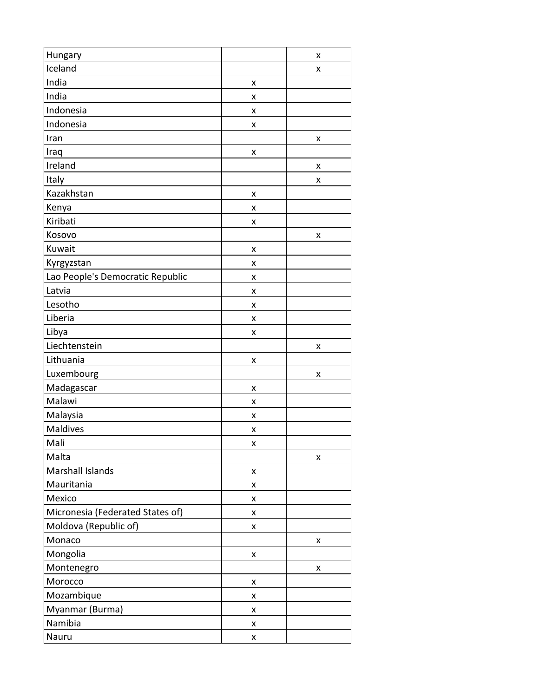| Hungary                          |   | x |
|----------------------------------|---|---|
| Iceland                          |   | x |
| India                            | x |   |
| India                            | x |   |
| Indonesia                        | x |   |
| Indonesia                        | X |   |
| Iran                             |   | x |
| Iraq                             | X |   |
| Ireland                          |   | x |
| Italy                            |   | x |
| Kazakhstan                       | x |   |
| Kenya                            | x |   |
| Kiribati                         | X |   |
| Kosovo                           |   | X |
| Kuwait                           | x |   |
| Kyrgyzstan                       | x |   |
| Lao People's Democratic Republic | x |   |
| Latvia                           | X |   |
| Lesotho                          | x |   |
| Liberia                          | x |   |
| Libya                            | x |   |
| Liechtenstein                    |   | x |
| Lithuania                        | x |   |
| Luxembourg                       |   | x |
| Madagascar                       | x |   |
| Malawi                           | X |   |
| Malaysia                         | x |   |
| Maldives                         | x |   |
| Mali                             | х |   |
| Malta                            |   | x |
| Marshall Islands                 | x |   |
| Mauritania                       | x |   |
| Mexico                           | Χ |   |
| Micronesia (Federated States of) | Χ |   |
| Moldova (Republic of)            | X |   |
| Monaco                           |   | x |
| Mongolia                         | Χ |   |
| Montenegro                       |   | X |
| Morocco                          | x |   |
| Mozambique                       | x |   |
| Myanmar (Burma)                  | Χ |   |
| Namibia                          | Χ |   |
| Nauru                            | x |   |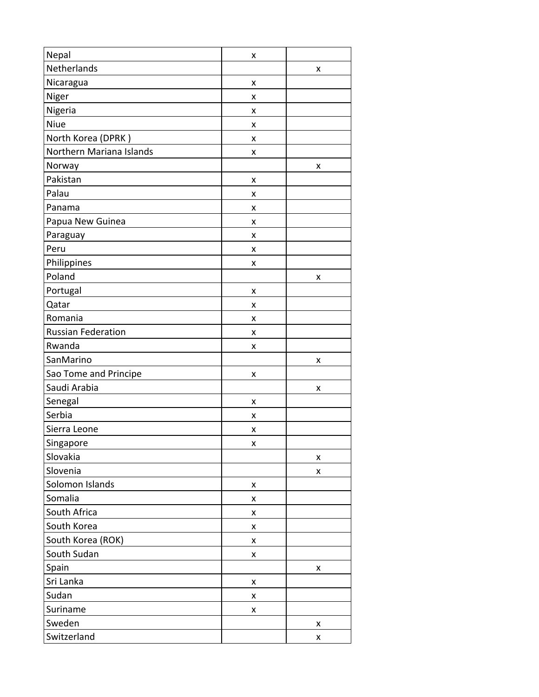| Nepal                     | x |   |
|---------------------------|---|---|
| Netherlands               |   | x |
| Nicaragua                 | x |   |
| Niger                     | x |   |
| Nigeria                   | x |   |
| Niue                      | x |   |
| North Korea (DPRK)        | x |   |
| Northern Mariana Islands  | x |   |
| Norway                    |   | x |
| Pakistan                  | x |   |
| Palau                     | x |   |
| Panama                    | x |   |
| Papua New Guinea          | x |   |
| Paraguay                  | x |   |
| Peru                      | x |   |
| Philippines               | x |   |
| Poland                    |   | x |
| Portugal                  | X |   |
| Qatar                     | x |   |
| Romania                   | x |   |
| <b>Russian Federation</b> | X |   |
| Rwanda                    | x |   |
| SanMarino                 |   | x |
| Sao Tome and Principe     | x |   |
| Saudi Arabia              |   | x |
| Senegal                   | x |   |
| Serbia                    | x |   |
| Sierra Leone              | Χ |   |
| Singapore                 | x |   |
| Slovakia                  |   | X |
| Slovenia                  |   | x |
| Solomon Islands           | x |   |
| Somalia                   | x |   |
| South Africa              | x |   |
| South Korea               | x |   |
| South Korea (ROK)         | x |   |
| South Sudan               | Χ |   |
| Spain                     |   | X |
| Sri Lanka                 | x |   |
| Sudan                     | x |   |
| Suriname                  | x |   |
| Sweden                    |   | X |
| Switzerland               |   | x |